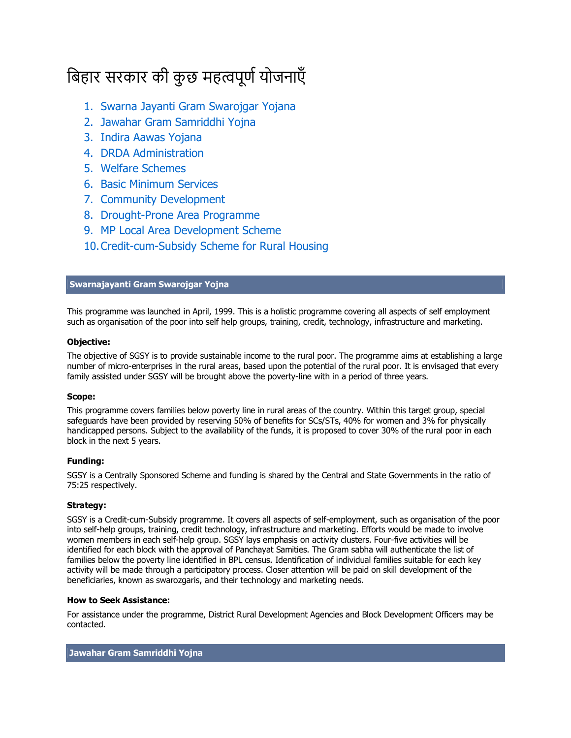# बिहार सरकार की कुछ महत्वपूर्ण योजनाएँ

- 1. Swarna Jayanti Gram Swarojgar Yojana
- 2. Jawahar Gram Samriddhi Yojna
- 3. Indira Aawas Yojana
- 4. DRDA Administration
- 5. Welfare Schemes
- 6. Basic Minimum Services
- 7. Community Development
- 8. Drought-Prone Area Programme
- 9. MP Local Area Development Scheme
- 10.Credit-cum-Subsidy Scheme for Rural Housing

# **Swarnajayanti Gram Swarojgar Yojna**

This programme was launched in April, 1999. This is a holistic programme covering all aspects of self employment such as organisation of the poor into self help groups, training, credit, technology, infrastructure and marketing.

# **Objective:**

The objective of SGSY is to provide sustainable income to the rural poor. The programme aims at establishing a large number of micro-enterprises in the rural areas, based upon the potential of the rural poor. It is envisaged that every family assisted under SGSY will be brought above the poverty-line with in a period of three years.

# **Scope:**

This programme covers families below poverty line in rural areas of the country. Within this target group, special safeguards have been provided by reserving 50% of benefits for SCs/STs, 40% for women and 3% for physically handicapped persons. Subject to the availability of the funds, it is proposed to cover 30% of the rural poor in each block in the next 5 years.

# **Funding:**

SGSY is a Centrally Sponsored Scheme and funding is shared by the Central and State Governments in the ratio of 75:25 respectively.

# **Strategy:**

SGSY is a Credit-cum-Subsidy programme. It covers all aspects of self-employment, such as organisation of the poor into self-help groups, training, credit technology, infrastructure and marketing. Efforts would be made to involve women members in each self-help group. SGSY lays emphasis on activity clusters. Four-five activities will be identified for each block with the approval of Panchayat Samities. The Gram sabha will authenticate the list of families below the poverty line identified in BPL census. Identification of individual families suitable for each key activity will be made through a participatory process. Closer attention will be paid on skill development of the beneficiaries, known as swarozgaris, and their technology and marketing needs.

# **How to Seek Assistance:**

For assistance under the programme, District Rural Development Agencies and Block Development Officers may be contacted.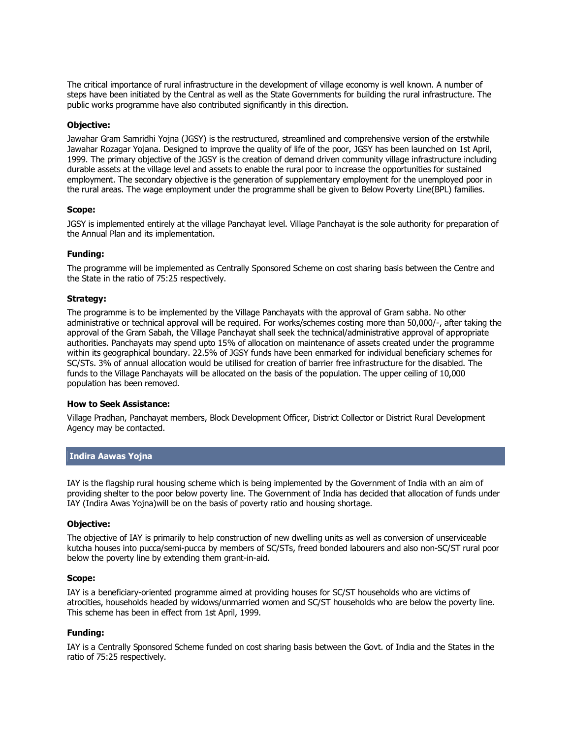The critical importance of rural infrastructure in the development of village economy is well known. A number of steps have been initiated by the Central as well as the State Governments for building the rural infrastructure. The public works programme have also contributed significantly in this direction.

## **Objective:**

Jawahar Gram Samridhi Yojna (JGSY) is the restructured, streamlined and comprehensive version of the erstwhile Jawahar Rozagar Yojana. Designed to improve the quality of life of the poor, JGSY has been launched on 1st April, 1999. The primary objective of the JGSY is the creation of demand driven community village infrastructure including durable assets at the village level and assets to enable the rural poor to increase the opportunities for sustained employment. The secondary objective is the generation of supplementary employment for the unemployed poor in the rural areas. The wage employment under the programme shall be given to Below Poverty Line(BPL) families.

#### **Scope:**

JGSY is implemented entirely at the village Panchayat level. Village Panchayat is the sole authority for preparation of the Annual Plan and its implementation.

# **Funding:**

The programme will be implemented as Centrally Sponsored Scheme on cost sharing basis between the Centre and the State in the ratio of 75:25 respectively.

#### **Strategy:**

The programme is to be implemented by the Village Panchayats with the approval of Gram sabha. No other administrative or technical approval will be required. For works/schemes costing more than 50,000/-, after taking the approval of the Gram Sabah, the Village Panchayat shall seek the technical/administrative approval of appropriate authorities. Panchayats may spend upto 15% of allocation on maintenance of assets created under the programme within its geographical boundary. 22.5% of JGSY funds have been enmarked for individual beneficiary schemes for SC/STs. 3% of annual allocation would be utilised for creation of barrier free infrastructure for the disabled. The funds to the Village Panchayats will be allocated on the basis of the population. The upper ceiling of 10,000 population has been removed.

#### **How to Seek Assistance:**

Village Pradhan, Panchayat members, Block Development Officer, District Collector or District Rural Development Agency may be contacted.

# **Indira Aawas Yojna**

IAY is the flagship rural housing scheme which is being implemented by the Government of India with an aim of providing shelter to the poor below poverty line. The Government of India has decided that allocation of funds under IAY (Indira Awas Yojna)will be on the basis of poverty ratio and housing shortage.

#### **Objective:**

The objective of IAY is primarily to help construction of new dwelling units as well as conversion of unserviceable kutcha houses into pucca/semi-pucca by members of SC/STs, freed bonded labourers and also non-SC/ST rural poor below the poverty line by extending them grant-in-aid.

# **Scope:**

IAY is a beneficiary-oriented programme aimed at providing houses for SC/ST households who are victims of atrocities, households headed by widows/unmarried women and SC/ST households who are below the poverty line. This scheme has been in effect from 1st April, 1999.

#### **Funding:**

IAY is a Centrally Sponsored Scheme funded on cost sharing basis between the Govt. of India and the States in the ratio of 75:25 respectively.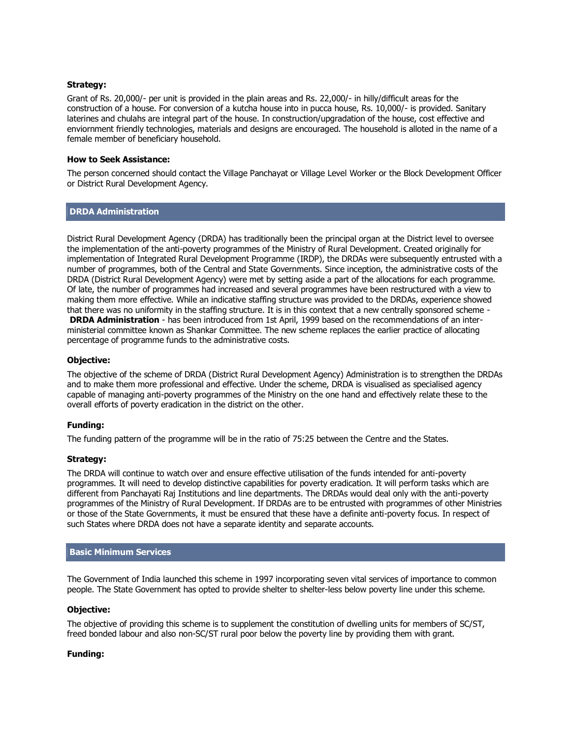## **Strategy:**

Grant of Rs. 20,000/- per unit is provided in the plain areas and Rs. 22,000/- in hilly/difficult areas for the construction of a house. For conversion of a kutcha house into in pucca house, Rs. 10,000/- is provided. Sanitary laterines and chulahs are integral part of the house. In construction/upgradation of the house, cost effective and enviornment friendly technologies, materials and designs are encouraged. The household is alloted in the name of a female member of beneficiary household.

## **How to Seek Assistance:**

The person concerned should contact the Village Panchayat or Village Level Worker or the Block Development Officer or District Rural Development Agency.

# **DRDA Administration**

District Rural Development Agency (DRDA) has traditionally been the principal organ at the District level to oversee the implementation of the anti-poverty programmes of the Ministry of Rural Development. Created originally for implementation of Integrated Rural Development Programme (IRDP), the DRDAs were subsequently entrusted with a number of programmes, both of the Central and State Governments. Since inception, the administrative costs of the DRDA (District Rural Development Agency) were met by setting aside a part of the allocations for each programme. Of late, the number of programmes had increased and several programmes have been restructured with a view to making them more effective. While an indicative staffing structure was provided to the DRDAs, experience showed that there was no uniformity in the staffing structure. It is in this context that a new centrally sponsored scheme - **DRDA Administration** - has been introduced from 1st April, 1999 based on the recommendations of an interministerial committee known as Shankar Committee. The new scheme replaces the earlier practice of allocating percentage of programme funds to the administrative costs.

# **Objective:**

The objective of the scheme of DRDA (District Rural Development Agency) Administration is to strengthen the DRDAs and to make them more professional and effective. Under the scheme, DRDA is visualised as specialised agency capable of managing anti-poverty programmes of the Ministry on the one hand and effectively relate these to the overall efforts of poverty eradication in the district on the other.

# **Funding:**

The funding pattern of the programme will be in the ratio of 75:25 between the Centre and the States.

#### **Strategy:**

The DRDA will continue to watch over and ensure effective utilisation of the funds intended for anti-poverty programmes. It will need to develop distinctive capabilities for poverty eradication. It will perform tasks which are different from Panchayati Raj Institutions and line departments. The DRDAs would deal only with the anti-poverty programmes of the Ministry of Rural Development. If DRDAs are to be entrusted with programmes of other Ministries or those of the State Governments, it must be ensured that these have a definite anti-poverty focus. In respect of such States where DRDA does not have a separate identity and separate accounts.

#### **Basic Minimum Services**

The Government of India launched this scheme in 1997 incorporating seven vital services of importance to common people. The State Government has opted to provide shelter to shelter-less below poverty line under this scheme.

#### **Objective:**

The objective of providing this scheme is to supplement the constitution of dwelling units for members of SC/ST, freed bonded labour and also non-SC/ST rural poor below the poverty line by providing them with grant.

#### **Funding:**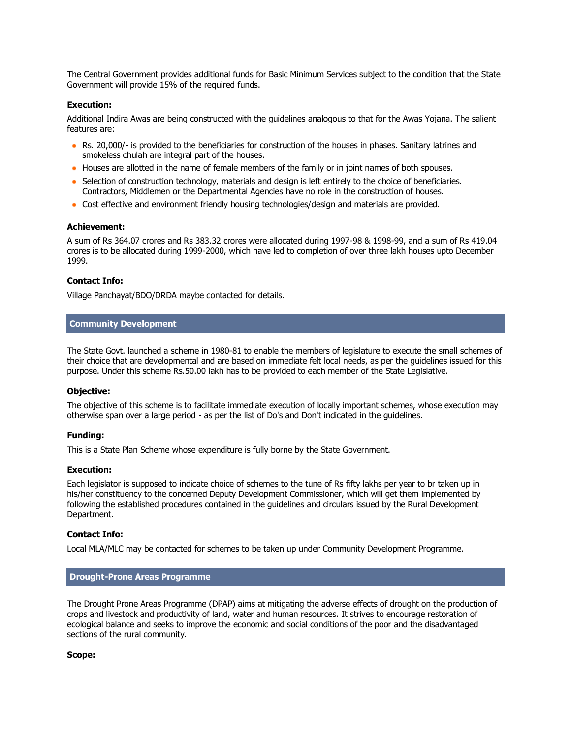The Central Government provides additional funds for Basic Minimum Services subject to the condition that the State Government will provide 15% of the required funds.

#### **Execution:**

Additional Indira Awas are being constructed with the guidelines analogous to that for the Awas Yojana. The salient features are:

- Rs. 20,000/- is provided to the beneficiaries for construction of the houses in phases. Sanitary latrines and smokeless chulah are integral part of the houses.
- Houses are allotted in the name of female members of the family or in joint names of both spouses.
- Selection of construction technology, materials and design is left entirely to the choice of beneficiaries. Contractors, Middlemen or the Departmental Agencies have no role in the construction of houses.
- Cost effective and environment friendly housing technologies/design and materials are provided.

#### **Achievement:**

A sum of Rs 364.07 crores and Rs 383.32 crores were allocated during 1997-98 & 1998-99, and a sum of Rs 419.04 crores is to be allocated during 1999-2000, which have led to completion of over three lakh houses upto December 1999.

#### **Contact Info:**

Village Panchayat/BDO/DRDA maybe contacted for details.

#### **Community Development**

The State Govt. launched a scheme in 1980-81 to enable the members of legislature to execute the small schemes of their choice that are developmental and are based on immediate felt local needs, as per the guidelines issued for this purpose. Under this scheme Rs.50.00 lakh has to be provided to each member of the State Legislative.

#### **Objective:**

The objective of this scheme is to facilitate immediate execution of locally important schemes, whose execution may otherwise span over a large period - as per the list of Do's and Don't indicated in the guidelines.

#### **Funding:**

This is a State Plan Scheme whose expenditure is fully borne by the State Government.

#### **Execution:**

Each legislator is supposed to indicate choice of schemes to the tune of Rs fifty lakhs per year to br taken up in his/her constituency to the concerned Deputy Development Commissioner, which will get them implemented by following the established procedures contained in the guidelines and circulars issued by the Rural Development Department.

#### **Contact Info:**

Local MLA/MLC may be contacted for schemes to be taken up under Community Development Programme.

#### **Drought-Prone Areas Programme**

The Drought Prone Areas Programme (DPAP) aims at mitigating the adverse effects of drought on the production of crops and livestock and productivity of land, water and human resources. It strives to encourage restoration of ecological balance and seeks to improve the economic and social conditions of the poor and the disadvantaged sections of the rural community.

#### **Scope:**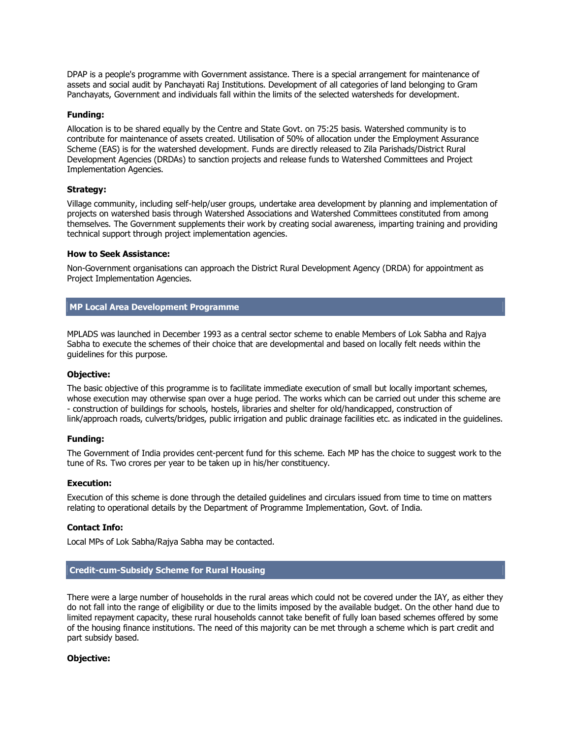DPAP is a people's programme with Government assistance. There is a special arrangement for maintenance of assets and social audit by Panchayati Raj Institutions. Development of all categories of land belonging to Gram Panchayats, Government and individuals fall within the limits of the selected watersheds for development.

#### **Funding:**

Allocation is to be shared equally by the Centre and State Govt. on 75:25 basis. Watershed community is to contribute for maintenance of assets created. Utilisation of 50% of allocation under the Employment Assurance Scheme (EAS) is for the watershed development. Funds are directly released to Zila Parishads/District Rural Development Agencies (DRDAs) to sanction projects and release funds to Watershed Committees and Project Implementation Agencies.

#### **Strategy:**

Village community, including self-help/user groups, undertake area development by planning and implementation of projects on watershed basis through Watershed Associations and Watershed Committees constituted from among themselves. The Government supplements their work by creating social awareness, imparting training and providing technical support through project implementation agencies.

#### **How to Seek Assistance:**

Non-Government organisations can approach the District Rural Development Agency (DRDA) for appointment as Project Implementation Agencies.

# **MP Local Area Development Programme**

MPLADS was launched in December 1993 as a central sector scheme to enable Members of Lok Sabha and Rajya Sabha to execute the schemes of their choice that are developmental and based on locally felt needs within the guidelines for this purpose.

#### **Objective:**

The basic objective of this programme is to facilitate immediate execution of small but locally important schemes, whose execution may otherwise span over a huge period. The works which can be carried out under this scheme are - construction of buildings for schools, hostels, libraries and shelter for old/handicapped, construction of link/approach roads, culverts/bridges, public irrigation and public drainage facilities etc. as indicated in the guidelines.

#### **Funding:**

The Government of India provides cent-percent fund for this scheme. Each MP has the choice to suggest work to the tune of Rs. Two crores per year to be taken up in his/her constituency.

#### **Execution:**

Execution of this scheme is done through the detailed guidelines and circulars issued from time to time on matters relating to operational details by the Department of Programme Implementation, Govt. of India.

#### **Contact Info:**

Local MPs of Lok Sabha/Rajya Sabha may be contacted.

# **Credit-cum-Subsidy Scheme for Rural Housing**

There were a large number of households in the rural areas which could not be covered under the IAY, as either they do not fall into the range of eligibility or due to the limits imposed by the available budget. On the other hand due to limited repayment capacity, these rural households cannot take benefit of fully loan based schemes offered by some of the housing finance institutions. The need of this majority can be met through a scheme which is part credit and part subsidy based.

#### **Objective:**